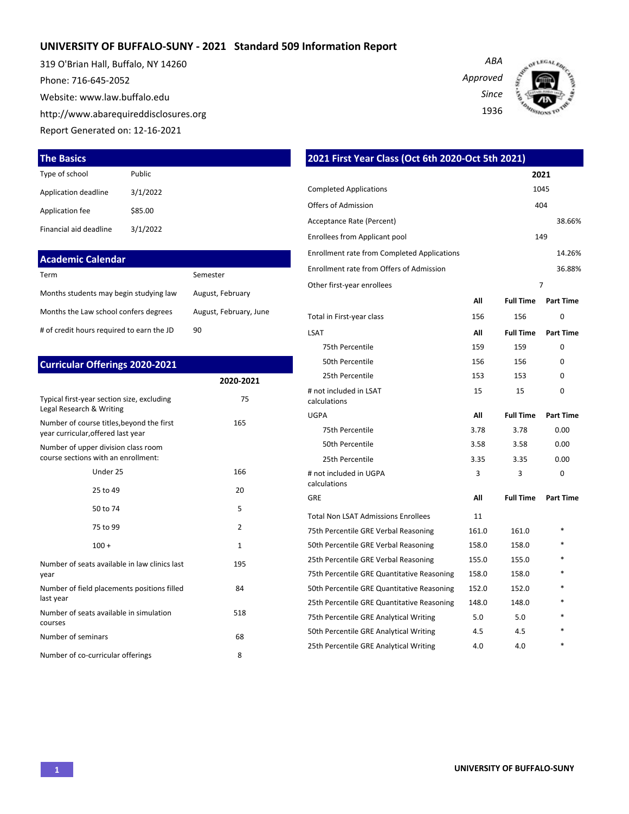## **UNIVERSITY OF BUFFALO-SUNY - 2021 Standard 509 Information Report**

319 O'Brian Hall, Buffalo, NY 14260 Phone: 716-645-2052 Website: www.law.buffalo.edu http://www.abarequireddisclosures.org Report Generated on: 12-16-2021



*ABA*



#### **The Basics**

| Type of school         | Public   |
|------------------------|----------|
| Application deadline   | 3/1/2022 |
| Application fee        | \$85.00  |
| Financial aid deadline | 3/1/2022 |

#### **Academic Calendar**

| Term                                      | Semester               |
|-------------------------------------------|------------------------|
| Months students may begin studying law    | August, February       |
| Months the Law school confers degrees     | August, February, June |
| # of credit hours required to earn the JD | 90                     |

### **Curricular Offerings 2020-2021**

|                                                                                 | 2020-2021     |
|---------------------------------------------------------------------------------|---------------|
| Typical first-year section size, excluding<br>Legal Research & Writing          | 75            |
| Number of course titles, beyond the first<br>year curricular, offered last year | 165           |
| Number of upper division class room<br>course sections with an enrollment:      |               |
| Under 25                                                                        | 166           |
| 25 to 49                                                                        | 20            |
| 50 to 74                                                                        | 5             |
| 75 to 99                                                                        | $\mathcal{P}$ |
| $100 +$                                                                         | $\mathbf{1}$  |
| Number of seats available in law clinics last<br>year                           | 195           |
| Number of field placements positions filled<br>last year                        | 84            |
| Number of seats available in simulation<br>courses                              | 518           |
| Number of seminars                                                              | 68            |
| Number of co-curricular offerings                                               | 8             |

## **2021 First Year Class (Oct 6th 2020-Oct 5th 2021) 2021** Completed Applications 1045 Offers of Admission 404 Acceptance Rate (Percent) 38.66% Enrollees from Applicant pool 149 Enrollment rate from Completed Applications 14.26% Enrollment rate from Offers of Admission 36.88% Other first-year enrollees 7 **All Full Time Part Time** Total in First-year class 156 156 0 LSAT **All Full Time Part Time** 75th Percentile 255 159 159 0 50th Percentile 2012 156 156 0 25th Percentile 25th Percentile 25th Percentile 25th Percentile 253 # not included in LSAT calculations 15 15 0 UGPA **All Full Time Part Time** 75th Percentile 3.78 3.78 0.00 50th Percentile 3.58 3.58 0.00 25th Percentile 3.35 3.35 0.00 # not included in UGPA calculations 3 3 0 GRE **All Full Time Part Time** Total Non LSAT Admissions Enrollees 11 75th Percentile GRE Verbal Reasoning 161.0 161.0 50th Percentile GRE Verbal Reasoning 158.0 158.0 25th Percentile GRE Verbal Reasoning 155.0 155.0 75th Percentile GRE Quantitative Reasoning 158.0 158.0 50th Percentile GRE Quantitative Reasoning 152.0 152.0 25th Percentile GRE Quantitative Reasoning 148.0 148.0 75th Percentile GRE Analytical Writing 5.0 5.0 5.0 50th Percentile GRE Analytical Writing  $4.5$  4.5

25th Percentile GRE Analytical Writing  $4.0$  4.0  $*$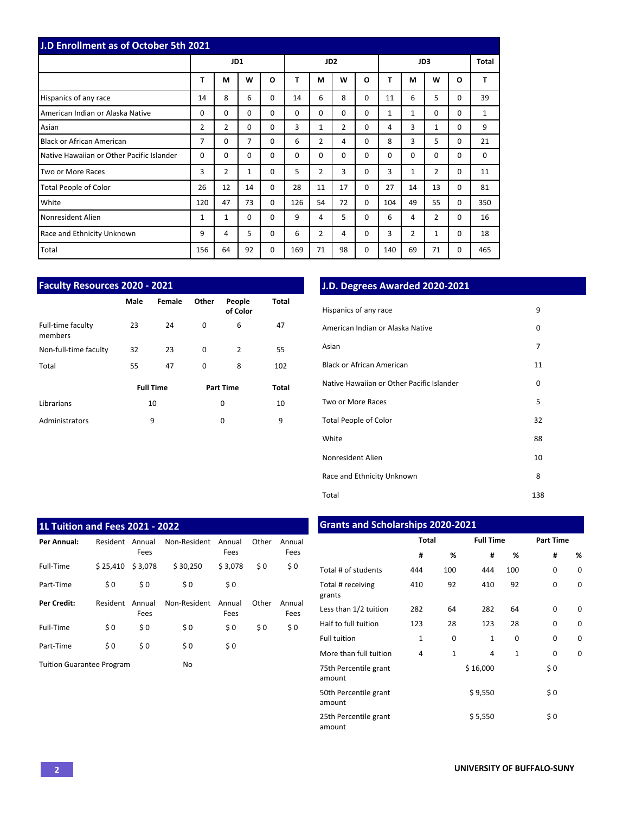| J.D Enrollment as of October 5th 2021     |          |                |             |          |          |                 |                |          |              |              |                |          |             |
|-------------------------------------------|----------|----------------|-------------|----------|----------|-----------------|----------------|----------|--------------|--------------|----------------|----------|-------------|
|                                           |          | JD1            |             |          |          | JD <sub>2</sub> |                |          |              |              | JD3            |          | Total       |
|                                           | T        | М              | W           | $\Omega$ | T        | M               | W              | O        | T            | М            | W              | O        | T           |
| Hispanics of any race                     | 14       | 8              | 6           | 0        | 14       | 6               | 8              | $\Omega$ | 11           | 6            | 5              | 0        | 39          |
| American Indian or Alaska Native          | $\Omega$ | $\Omega$       | $\mathbf 0$ | 0        | $\Omega$ | $\Omega$        | $\Omega$       | $\Omega$ | $\mathbf{1}$ | $\mathbf{1}$ | $\Omega$       | 0        | 1           |
| Asian                                     | 2        | $\overline{2}$ | 0           | $\Omega$ | 3        | $\mathbf{1}$    | $\overline{2}$ | $\Omega$ | 4            | 3            | 1              | 0        | 9           |
| <b>Black or African American</b>          | 7        | $\Omega$       | 7           | 0        | 6        | 2               | 4              | $\Omega$ | 8            | 3            | 5              | 0        | 21          |
| Native Hawaiian or Other Pacific Islander | $\Omega$ | 0              | 0           | 0        | $\Omega$ | $\Omega$        | 0              | $\Omega$ | 0            | $\Omega$     | 0              | 0        | $\mathbf 0$ |
| Two or More Races                         | 3        | $\overline{2}$ | 1           | 0        | 5        | $\overline{2}$  | 3              | 0        | 3            | 1            | $\overline{2}$ | 0        | 11          |
| <b>Total People of Color</b>              | 26       | 12             | 14          | $\Omega$ | 28       | 11              | 17             | $\Omega$ | 27           | 14           | 13             | 0        | 81          |
| White                                     | 120      | 47             | 73          | $\Omega$ | 126      | 54              | 72             | $\Omega$ | 104          | 49           | 55             | $\Omega$ | 350         |
| Nonresident Alien                         | 1        | 1              | $\Omega$    | $\Omega$ | 9        | 4               | 5              | $\Omega$ | 6            | 4            | 2              | 0        | 16          |
| Race and Ethnicity Unknown                | 9        | 4              | 5           | 0        | 6        | $\overline{2}$  | 4              | 0        | 3            | 2            | 1              | 0        | 18          |
| Total                                     | 156      | 64             | 92          | 0        | 169      | 71              | 98             | $\Omega$ | 140          | 69           | 71             | 0        | 465         |

| <b>Faculty Resources 2020 - 2021</b> |      |                  |          |                    |       |  |  |  |
|--------------------------------------|------|------------------|----------|--------------------|-------|--|--|--|
|                                      | Male | Female           | Other    | People<br>of Color | Total |  |  |  |
| Full-time faculty<br>members         | 23   | 24               | 0        | 6                  | 47    |  |  |  |
| Non-full-time faculty                | 32   | 23               | 0        | $\overline{2}$     | 55    |  |  |  |
| Total                                | 55   | 47               | $\Omega$ | 8                  | 102   |  |  |  |
|                                      |      | <b>Full Time</b> |          | <b>Part Time</b>   | Total |  |  |  |
| Librarians                           |      | 10               |          | 0                  | 10    |  |  |  |
| Administrators                       |      | 9                |          | 0                  | 9     |  |  |  |

## **J.D. Degrees Awarded 2020-2021**

| Hispanics of any race                     | 9   |
|-------------------------------------------|-----|
| American Indian or Alaska Native          | 0   |
| Asian                                     | 7   |
| <b>Black or African American</b>          | 11  |
| Native Hawaiian or Other Pacific Islander | 0   |
| Two or More Races                         | 5   |
| <b>Total People of Color</b>              | 32  |
| White                                     | 88  |
| Nonresident Alien                         | 10  |
| Race and Ethnicity Unknown                | 8   |
| Total                                     | 138 |

| <b>1L Tuition and Fees 2021 - 2022</b> |          |                |              |                |       |                |  |  |  |  |  |  |  |
|----------------------------------------|----------|----------------|--------------|----------------|-------|----------------|--|--|--|--|--|--|--|
| Per Annual:                            | Resident | Annual<br>Fees | Non-Resident | Annual<br>Fees | Other | Annual<br>Fees |  |  |  |  |  |  |  |
| Full-Time                              | \$25.410 | \$3,078        | \$30.250     | \$3.078        | \$0   | \$0            |  |  |  |  |  |  |  |
| Part-Time                              | \$0      | \$0            | \$0          | \$0            |       |                |  |  |  |  |  |  |  |
| <b>Per Credit:</b>                     | Resident | Annual<br>Fees | Non-Resident | Annual<br>Fees | Other | Annual<br>Fees |  |  |  |  |  |  |  |
| Full-Time                              | \$0      | \$0            | \$0          | \$0            | \$0   | \$0            |  |  |  |  |  |  |  |
| Part-Time                              | \$0      | \$0            | \$0          | \$0            |       |                |  |  |  |  |  |  |  |
| <b>Tuition Guarantee Program</b>       |          |                | No           |                |       |                |  |  |  |  |  |  |  |

## **Grants and Scholarships 2020-2021**

|                                 | <b>Total</b> |              | <b>Full Time</b> |              | <b>Part Time</b> |          |  |
|---------------------------------|--------------|--------------|------------------|--------------|------------------|----------|--|
|                                 | #            | %            | #                | %            | #                | %        |  |
| Total # of students             | 444          | 100          | 444              | 100          | 0                | 0        |  |
| Total # receiving<br>grants     | 410          | 92           | 410              | 92           | 0                | 0        |  |
| Less than 1/2 tuition           | 282          | 64           | 282              | 64           | 0                | $\Omega$ |  |
| Half to full tuition            | 123          | 28           | 123              | 28           | 0                | 0        |  |
| <b>Full tuition</b>             | $\mathbf{1}$ | 0            | $\mathbf{1}$     | 0            | 0                | 0        |  |
| More than full tuition          | 4            | $\mathbf{1}$ | 4                | $\mathbf{1}$ | 0                | 0        |  |
| 75th Percentile grant<br>amount |              |              | \$16,000         |              | \$0              |          |  |
| 50th Percentile grant<br>amount |              |              | \$9,550          |              | \$0              |          |  |
| 25th Percentile grant<br>amount |              |              | \$5,550          |              | \$0              |          |  |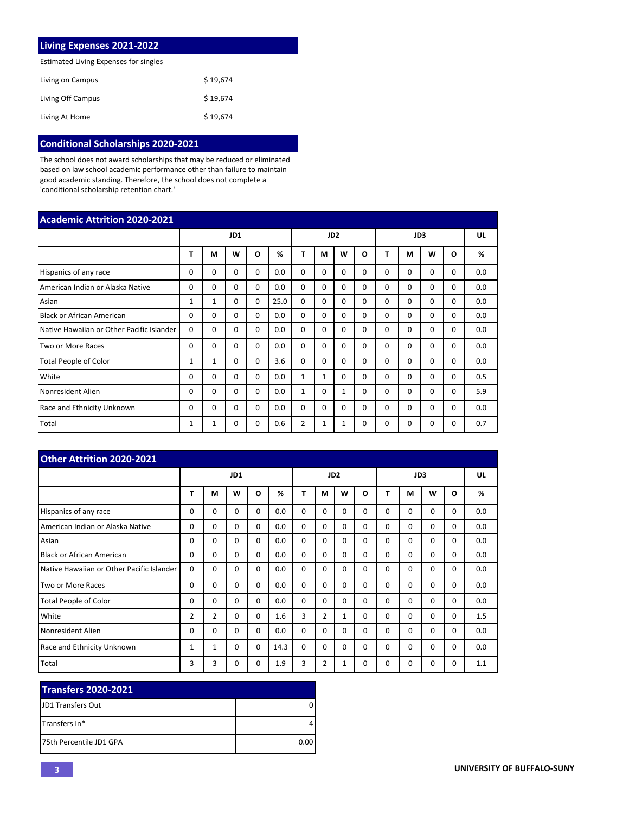| <b>Living Expenses 2021-2022</b>      |          |
|---------------------------------------|----------|
| Estimated Living Expenses for singles |          |
| Living on Campus                      | \$19.674 |
| Living Off Campus                     | \$19.674 |
| Living At Home                        | \$19.674 |

# **Conditional Scholarships 2020-2021**

The school does not award scholarships that may be reduced or eliminated based on law school academic performance other than failure to maintain good academic standing. Therefore, the school does not complete a 'conditional scholarship retention chart.'

| <b>Academic Attrition 2020-2021</b>       |             |              |          |          |      |                 |              |              |          |              |          |          |          |     |
|-------------------------------------------|-------------|--------------|----------|----------|------|-----------------|--------------|--------------|----------|--------------|----------|----------|----------|-----|
|                                           |             |              | JD1      |          |      | JD <sub>2</sub> |              |              |          |              | JD3      |          |          | UL  |
|                                           | т           | М            | w        | O        | %    | Т               | М            | W            | O        | т            | M        | W        | $\Omega$ | %   |
| Hispanics of any race                     | 0           | 0            | $\Omega$ | $\Omega$ | 0.0  | 0               | 0            | $\Omega$     | 0        | <sup>0</sup> | $\Omega$ | 0        | 0        | 0.0 |
| American Indian or Alaska Native          | $\Omega$    | $\Omega$     | $\Omega$ | $\Omega$ | 0.0  | $\Omega$        | $\Omega$     | $\Omega$     | $\Omega$ | $\Omega$     | $\Omega$ | 0        | $\Omega$ | 0.0 |
| Asian                                     | $\mathbf 1$ | $\mathbf{1}$ | $\Omega$ | $\Omega$ | 25.0 | $\Omega$        | $\Omega$     | $\Omega$     | 0        | $\Omega$     | $\Omega$ | $\Omega$ | $\Omega$ | 0.0 |
| <b>Black or African American</b>          | 0           | $\Omega$     | $\Omega$ | $\Omega$ | 0.0  | $\Omega$        | $\Omega$     | $\Omega$     | $\Omega$ | $\Omega$     | $\Omega$ | $\Omega$ | $\Omega$ | 0.0 |
| Native Hawaiian or Other Pacific Islander | $\Omega$    | $\Omega$     | $\Omega$ | $\Omega$ | 0.0  | $\Omega$        | $\Omega$     | $\Omega$     | 0        | $\Omega$     | 0        | 0        | 0        | 0.0 |
| Two or More Races                         | 0           | $\Omega$     | $\Omega$ | $\Omega$ | 0.0  | $\Omega$        | $\Omega$     | $\Omega$     | 0        | $\Omega$     | $\Omega$ | $\Omega$ | $\Omega$ | 0.0 |
| <b>Total People of Color</b>              | 1           | $\mathbf{1}$ | $\Omega$ | $\Omega$ | 3.6  | $\Omega$        | $\Omega$     | $\Omega$     | $\Omega$ | $\Omega$     | $\Omega$ | $\Omega$ | $\Omega$ | 0.0 |
| White                                     | $\Omega$    | $\Omega$     | $\Omega$ | $\Omega$ | 0.0  | $\mathbf{1}$    | $\mathbf{1}$ | $\Omega$     | $\Omega$ | $\Omega$     | $\Omega$ | $\Omega$ | $\Omega$ | 0.5 |
| Nonresident Alien                         | 0           | $\Omega$     | $\Omega$ | $\Omega$ | 0.0  | $\mathbf{1}$    | $\Omega$     | $\mathbf{1}$ | 0        | $\Omega$     | $\Omega$ | 0        | $\Omega$ | 5.9 |
| Race and Ethnicity Unknown                | 0           | $\Omega$     | $\Omega$ | $\Omega$ | 0.0  | $\Omega$        | $\Omega$     | $\Omega$     | $\Omega$ | $\Omega$     | $\Omega$ | 0        | $\Omega$ | 0.0 |
| Total                                     | 1           | $\mathbf{1}$ | $\Omega$ | $\Omega$ | 0.6  | $\overline{2}$  | 1            | 1            | $\Omega$ | $\Omega$     | $\Omega$ | $\Omega$ | $\Omega$ | 0.7 |

| <b>Other Attrition 2020-2021</b>          |                |                |          |          |      |          |                |                 |          |          |          |          |          |     |
|-------------------------------------------|----------------|----------------|----------|----------|------|----------|----------------|-----------------|----------|----------|----------|----------|----------|-----|
|                                           |                |                | JD1      |          |      |          |                | JD <sub>2</sub> |          |          | JD3      |          |          | UL  |
|                                           | т              | M              | W        | $\Omega$ | %    | Т        | М              | W               | O        | т        | М        | W        | O        | %   |
| Hispanics of any race                     | 0              | $\Omega$       | 0        | $\Omega$ | 0.0  | $\Omega$ | $\Omega$       | $\Omega$        | $\Omega$ | $\Omega$ | $\Omega$ | 0        | $\Omega$ | 0.0 |
| American Indian or Alaska Native          | $\Omega$       | $\Omega$       | $\Omega$ | $\Omega$ | 0.0  | $\Omega$ | $\Omega$       | $\Omega$        | $\Omega$ | $\Omega$ | $\Omega$ | $\Omega$ | $\Omega$ | 0.0 |
| Asian                                     | $\Omega$       | $\Omega$       | $\Omega$ | $\Omega$ | 0.0  | $\Omega$ | $\Omega$       | $\Omega$        | $\Omega$ | $\Omega$ | $\Omega$ | $\Omega$ | $\Omega$ | 0.0 |
| <b>Black or African American</b>          | $\Omega$       | $\Omega$       | $\Omega$ | $\Omega$ | 0.0  | $\Omega$ | $\Omega$       | $\Omega$        | $\Omega$ | $\Omega$ | $\Omega$ | $\Omega$ | $\Omega$ | 0.0 |
| Native Hawaiian or Other Pacific Islander | $\Omega$       | $\Omega$       | 0        | $\Omega$ | 0.0  | $\Omega$ | $\Omega$       | $\Omega$        | $\Omega$ | 0        | $\Omega$ | 0        | $\Omega$ | 0.0 |
| Two or More Races                         | $\Omega$       | $\Omega$       | $\Omega$ | $\Omega$ | 0.0  | $\Omega$ | $\Omega$       | $\Omega$        | $\Omega$ | $\Omega$ | $\Omega$ | 0        | $\Omega$ | 0.0 |
| <b>Total People of Color</b>              | 0              | $\Omega$       | $\Omega$ | $\Omega$ | 0.0  | $\Omega$ | $\Omega$       | $\Omega$        | $\Omega$ | $\Omega$ | $\Omega$ | $\Omega$ | $\Omega$ | 0.0 |
| White                                     | $\overline{2}$ | $\overline{2}$ | $\Omega$ | $\Omega$ | 1.6  | 3        | $\overline{2}$ | 1               | $\Omega$ | $\Omega$ | $\Omega$ | 0        | $\Omega$ | 1.5 |
| Nonresident Alien                         | 0              | $\Omega$       | $\Omega$ | $\Omega$ | 0.0  | $\Omega$ | $\Omega$       | $\Omega$        | $\Omega$ | $\Omega$ | $\Omega$ | $\Omega$ | $\Omega$ | 0.0 |
| <b>Race and Ethnicity Unknown</b>         | 1              | $\mathbf{1}$   | $\Omega$ | $\Omega$ | 14.3 | $\Omega$ | $\Omega$       | $\Omega$        | $\Omega$ | $\Omega$ | $\Omega$ | $\Omega$ | $\Omega$ | 0.0 |
| Total                                     | 3              | 3              | 0        | $\Omega$ | 1.9  | 3        | 2              | $\mathbf{1}$    | $\Omega$ | 0        | 0        | 0        | 0        | 1.1 |

| <b>Transfers 2020-2021</b> |      |
|----------------------------|------|
| <b>IJD1 Transfers Out</b>  |      |
| <b>ITransfers In*</b>      |      |
| 175th Percentile JD1 GPA   | 0.00 |